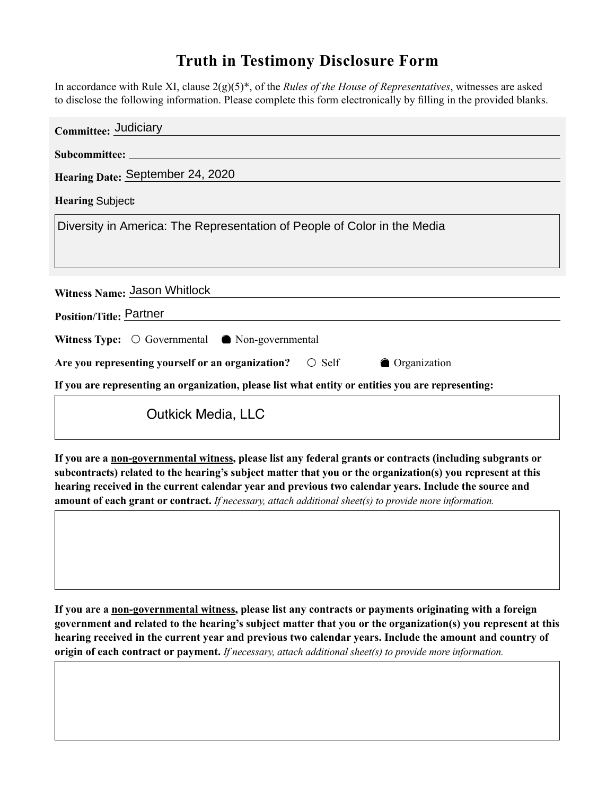## **Truth in Testimony Disclosure Form**

In accordance with Rule XI, clause 2(g)(5)\*, of the *Rules of the House of Representatives*, witnesses are asked to disclose the following information. Please complete this form electronically by filling in the provided blanks.

| Committee: Judiciary                                                                               |
|----------------------------------------------------------------------------------------------------|
|                                                                                                    |
| Hearing Date: September 24, 2020                                                                   |
| Hearing Subject $\overline{\mathbf{v}}$                                                            |
| Diversity in America: The Representation of People of Color in the Media                           |
|                                                                                                    |
|                                                                                                    |
| Witness Name: Jason Whitlock                                                                       |
| Position/Title: Partner                                                                            |
| <b>Witness Type:</b> $\odot$ Governmental $\odot$ Non-governmental                                 |
| Are you representing yourself or an organization? <b>O</b> Self<br><b>O</b> Organization           |
| If you are representing an organization, please list what entity or entities you are representing: |
| <b>Outkick Media, LLC</b>                                                                          |

**If you are a non-governmental witness, please list any federal grants or contracts (including subgrants or subcontracts) related to the hearing's subject matter that you or the organization(s) you represent at this hearing received in the current calendar year and previous two calendar years. Include the source and amount of each grant or contract.** *If necessary, attach additional sheet(s) to provide more information.*

**If you are a non-governmental witness, please list any contracts or payments originating with a foreign government and related to the hearing's subject matter that you or the organization(s) you represent at this hearing received in the current year and previous two calendar years. Include the amount and country of origin of each contract or payment.** *If necessary, attach additional sheet(s) to provide more information.*